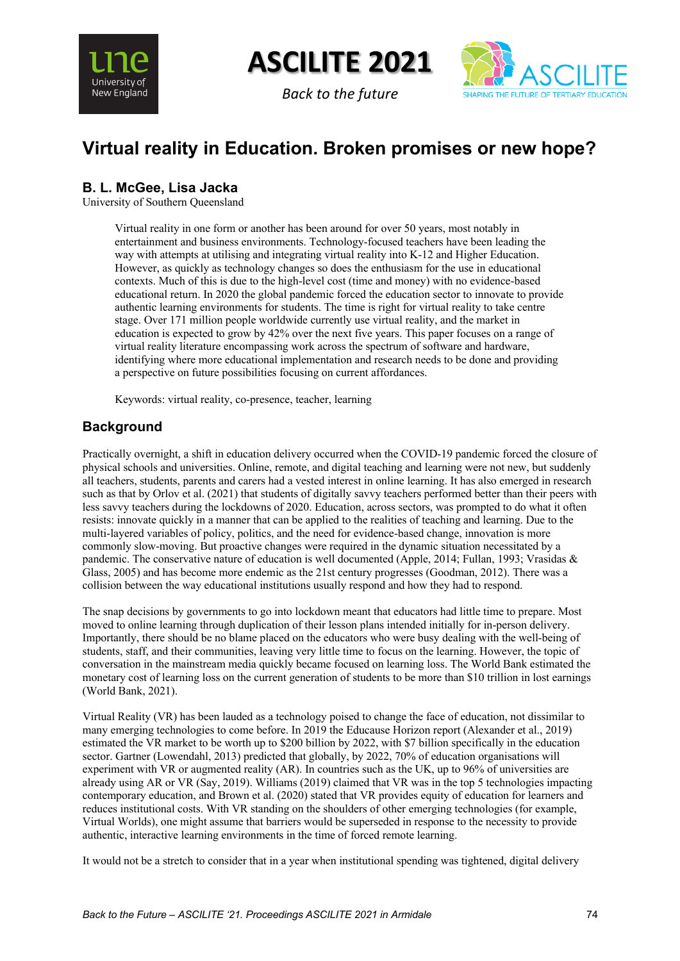

**ASCILITE 2021**





# **Virtual reality in Education. Broken promises or new hope?**

# **B. L. McGee, Lisa Jacka**

University of Southern Queensland

Virtual reality in one form or another has been around for over 50 years, most notably in entertainment and business environments. Technology-focused teachers have been leading the way with attempts at utilising and integrating virtual reality into K-12 and Higher Education. However, as quickly as technology changes so does the enthusiasm for the use in educational contexts. Much of this is due to the high-level cost (time and money) with no evidence-based educational return. In 2020 the global pandemic forced the education sector to innovate to provide authentic learning environments for students. The time is right for virtual reality to take centre stage. Over 171 million people worldwide currently use virtual reality, and the market in education is expected to grow by 42% over the next five years. This paper focuses on a range of virtual reality literature encompassing work across the spectrum of software and hardware, identifying where more educational implementation and research needs to be done and providing a perspective on future possibilities focusing on current affordances.

Keywords: virtual reality, co-presence, teacher, learning

# **Background**

Practically overnight, a shift in education delivery occurred when the COVID-19 pandemic forced the closure of physical schools and universities. Online, remote, and digital teaching and learning were not new, but suddenly all teachers, students, parents and carers had a vested interest in online learning. It has also emerged in research such as that by Orlov et al. (2021) that students of digitally savvy teachers performed better than their peers with less savvy teachers during the lockdowns of 2020. Education, across sectors, was prompted to do what it often resists: innovate quickly in a manner that can be applied to the realities of teaching and learning. Due to the multi-layered variables of policy, politics, and the need for evidence-based change, innovation is more commonly slow-moving. But proactive changes were required in the dynamic situation necessitated by a pandemic. The conservative nature of education is well documented (Apple, 2014; Fullan, 1993; Vrasidas & Glass, 2005) and has become more endemic as the 21st century progresses (Goodman, 2012). There was a collision between the way educational institutions usually respond and how they had to respond.

The snap decisions by governments to go into lockdown meant that educators had little time to prepare. Most moved to online learning through duplication of their lesson plans intended initially for in-person delivery. Importantly, there should be no blame placed on the educators who were busy dealing with the well-being of students, staff, and their communities, leaving very little time to focus on the learning. However, the topic of conversation in the mainstream media quickly became focused on learning loss. The World Bank estimated the monetary cost of learning loss on the current generation of students to be more than \$10 trillion in lost earnings (World Bank, 2021).

Virtual Reality (VR) has been lauded as a technology poised to change the face of education, not dissimilar to many emerging technologies to come before. In 2019 the Educause Horizon report (Alexander et al., 2019) estimated the VR market to be worth up to \$200 billion by 2022, with \$7 billion specifically in the education sector. Gartner (Lowendahl, 2013) predicted that globally, by 2022, 70% of education organisations will experiment with VR or augmented reality (AR). In countries such as the UK, up to 96% of universities are already using AR or VR (Say, 2019). Williams (2019) claimed that VR was in the top 5 technologies impacting contemporary education, and Brown et al. (2020) stated that VR provides equity of education for learners and reduces institutional costs. With VR standing on the shoulders of other emerging technologies (for example, Virtual Worlds), one might assume that barriers would be superseded in response to the necessity to provide authentic, interactive learning environments in the time of forced remote learning.

It would not be a stretch to consider that in a year when institutional spending was tightened, digital delivery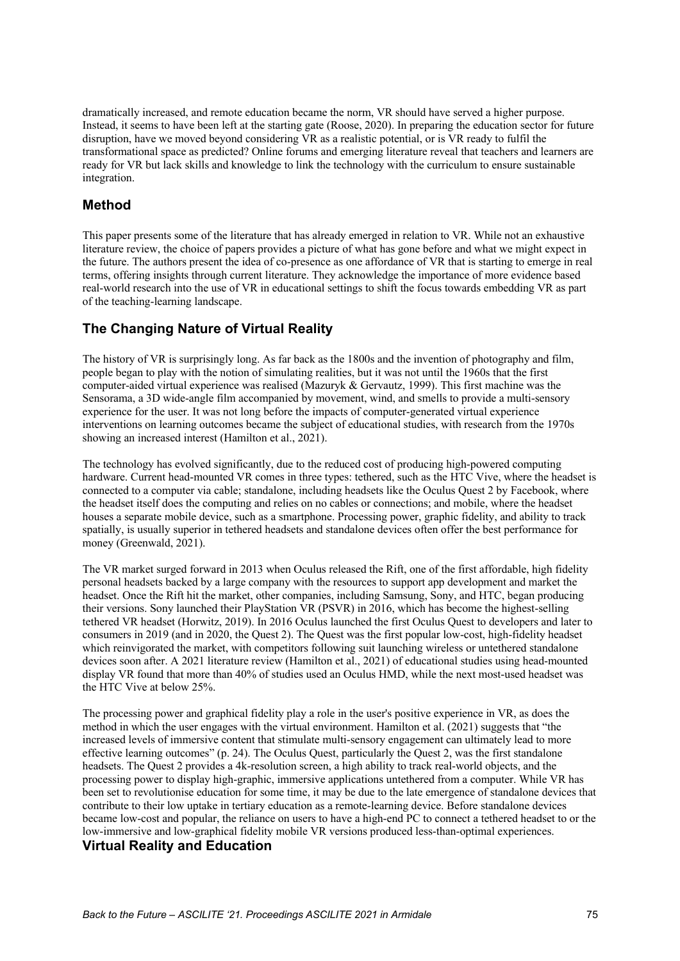dramatically increased, and remote education became the norm, VR should have served a higher purpose. Instead, it seems to have been left at the starting gate (Roose, 2020). In preparing the education sector for future disruption, have we moved beyond considering VR as a realistic potential, or is VR ready to fulfil the transformational space as predicted? Online forums and emerging literature reveal that teachers and learners are ready for VR but lack skills and knowledge to link the technology with the curriculum to ensure sustainable integration.

#### **Method**

This paper presents some of the literature that has already emerged in relation to VR. While not an exhaustive literature review, the choice of papers provides a picture of what has gone before and what we might expect in the future. The authors present the idea of co-presence as one affordance of VR that is starting to emerge in real terms, offering insights through current literature. They acknowledge the importance of more evidence based real-world research into the use of VR in educational settings to shift the focus towards embedding VR as part of the teaching-learning landscape.

## **The Changing Nature of Virtual Reality**

The history of VR is surprisingly long. As far back as the 1800s and the invention of photography and film, people began to play with the notion of simulating realities, but it was not until the 1960s that the first computer-aided virtual experience was realised (Mazuryk & Gervautz, 1999). This first machine was the Sensorama, a 3D wide-angle film accompanied by movement, wind, and smells to provide a multi-sensory experience for the user. It was not long before the impacts of computer-generated virtual experience interventions on learning outcomes became the subject of educational studies, with research from the 1970s showing an increased interest (Hamilton et al., 2021).

The technology has evolved significantly, due to the reduced cost of producing high-powered computing hardware. Current head-mounted VR comes in three types: tethered, such as the HTC Vive, where the headset is connected to a computer via cable; standalone, including headsets like the Oculus Quest 2 by Facebook, where the headset itself does the computing and relies on no cables or connections; and mobile, where the headset houses a separate mobile device, such as a smartphone. Processing power, graphic fidelity, and ability to track spatially, is usually superior in tethered headsets and standalone devices often offer the best performance for money (Greenwald, 2021).

The VR market surged forward in 2013 when Oculus released the Rift, one of the first affordable, high fidelity personal headsets backed by a large company with the resources to support app development and market the headset. Once the Rift hit the market, other companies, including Samsung, Sony, and HTC, began producing their versions. Sony launched their PlayStation VR (PSVR) in 2016, which has become the highest-selling tethered VR headset (Horwitz, 2019). In 2016 Oculus launched the first Oculus Quest to developers and later to consumers in 2019 (and in 2020, the Quest 2). The Quest was the first popular low-cost, high-fidelity headset which reinvigorated the market, with competitors following suit launching wireless or untethered standalone devices soon after. A 2021 literature review (Hamilton et al., 2021) of educational studies using head-mounted display VR found that more than 40% of studies used an Oculus HMD, while the next most-used headset was the HTC Vive at below 25%.

The processing power and graphical fidelity play a role in the user's positive experience in VR, as does the method in which the user engages with the virtual environment. Hamilton et al. (2021) suggests that "the increased levels of immersive content that stimulate multi-sensory engagement can ultimately lead to more effective learning outcomes" (p. 24). The Oculus Quest, particularly the Quest 2, was the first standalone headsets. The Quest 2 provides a 4k-resolution screen, a high ability to track real-world objects, and the processing power to display high-graphic, immersive applications untethered from a computer. While VR has been set to revolutionise education for some time, it may be due to the late emergence of standalone devices that contribute to their low uptake in tertiary education as a remote-learning device. Before standalone devices became low-cost and popular, the reliance on users to have a high-end PC to connect a tethered headset to or the low-immersive and low-graphical fidelity mobile VR versions produced less-than-optimal experiences.

### **Virtual Reality and Education**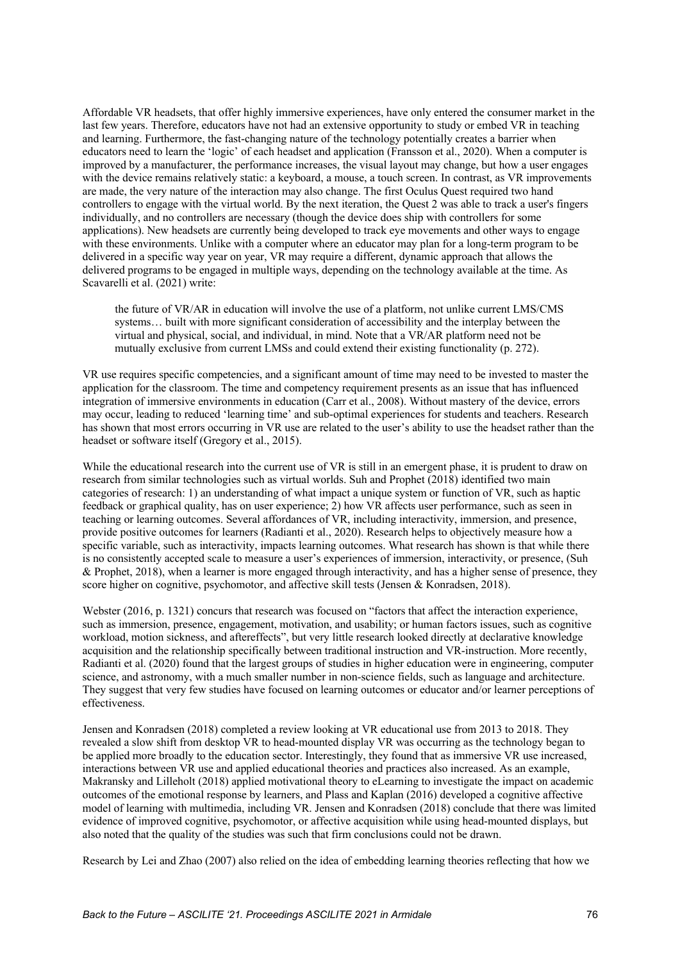Affordable VR headsets, that offer highly immersive experiences, have only entered the consumer market in the last few years. Therefore, educators have not had an extensive opportunity to study or embed VR in teaching and learning. Furthermore, the fast-changing nature of the technology potentially creates a barrier when educators need to learn the 'logic' of each headset and application (Fransson et al., 2020). When a computer is improved by a manufacturer, the performance increases, the visual layout may change, but how a user engages with the device remains relatively static: a keyboard, a mouse, a touch screen. In contrast, as VR improvements are made, the very nature of the interaction may also change. The first Oculus Quest required two hand controllers to engage with the virtual world. By the next iteration, the Quest 2 was able to track a user's fingers individually, and no controllers are necessary (though the device does ship with controllers for some applications). New headsets are currently being developed to track eye movements and other ways to engage with these environments. Unlike with a computer where an educator may plan for a long-term program to be delivered in a specific way year on year, VR may require a different, dynamic approach that allows the delivered programs to be engaged in multiple ways, depending on the technology available at the time. As Scavarelli et al. (2021) write:

the future of VR/AR in education will involve the use of a platform, not unlike current LMS/CMS systems… built with more significant consideration of accessibility and the interplay between the virtual and physical, social, and individual, in mind. Note that a VR/AR platform need not be mutually exclusive from current LMSs and could extend their existing functionality (p. 272).

VR use requires specific competencies, and a significant amount of time may need to be invested to master the application for the classroom. The time and competency requirement presents as an issue that has influenced integration of immersive environments in education (Carr et al., 2008). Without mastery of the device, errors may occur, leading to reduced 'learning time' and sub-optimal experiences for students and teachers. Research has shown that most errors occurring in VR use are related to the user's ability to use the headset rather than the headset or software itself (Gregory et al., 2015).

While the educational research into the current use of VR is still in an emergent phase, it is prudent to draw on research from similar technologies such as virtual worlds. Suh and Prophet (2018) identified two main categories of research: 1) an understanding of what impact a unique system or function of VR, such as haptic feedback or graphical quality, has on user experience; 2) how VR affects user performance, such as seen in teaching or learning outcomes. Several affordances of VR, including interactivity, immersion, and presence, provide positive outcomes for learners (Radianti et al., 2020). Research helps to objectively measure how a specific variable, such as interactivity, impacts learning outcomes. What research has shown is that while there is no consistently accepted scale to measure a user's experiences of immersion, interactivity, or presence, (Suh & Prophet, 2018), when a learner is more engaged through interactivity, and has a higher sense of presence, they score higher on cognitive, psychomotor, and affective skill tests (Jensen & Konradsen, 2018).

Webster (2016, p. 1321) concurs that research was focused on "factors that affect the interaction experience, such as immersion, presence, engagement, motivation, and usability; or human factors issues, such as cognitive workload, motion sickness, and aftereffects", but very little research looked directly at declarative knowledge acquisition and the relationship specifically between traditional instruction and VR-instruction. More recently, Radianti et al. (2020) found that the largest groups of studies in higher education were in engineering, computer science, and astronomy, with a much smaller number in non-science fields, such as language and architecture. They suggest that very few studies have focused on learning outcomes or educator and/or learner perceptions of effectiveness.

Jensen and Konradsen (2018) completed a review looking at VR educational use from 2013 to 2018. They revealed a slow shift from desktop VR to head-mounted display VR was occurring as the technology began to be applied more broadly to the education sector. Interestingly, they found that as immersive VR use increased, interactions between VR use and applied educational theories and practices also increased. As an example, Makransky and Lilleholt (2018) applied motivational theory to eLearning to investigate the impact on academic outcomes of the emotional response by learners, and Plass and Kaplan (2016) developed a cognitive affective model of learning with multimedia, including VR. Jensen and Konradsen (2018) conclude that there was limited evidence of improved cognitive, psychomotor, or affective acquisition while using head-mounted displays, but also noted that the quality of the studies was such that firm conclusions could not be drawn.

Research by Lei and Zhao (2007) also relied on the idea of embedding learning theories reflecting that how we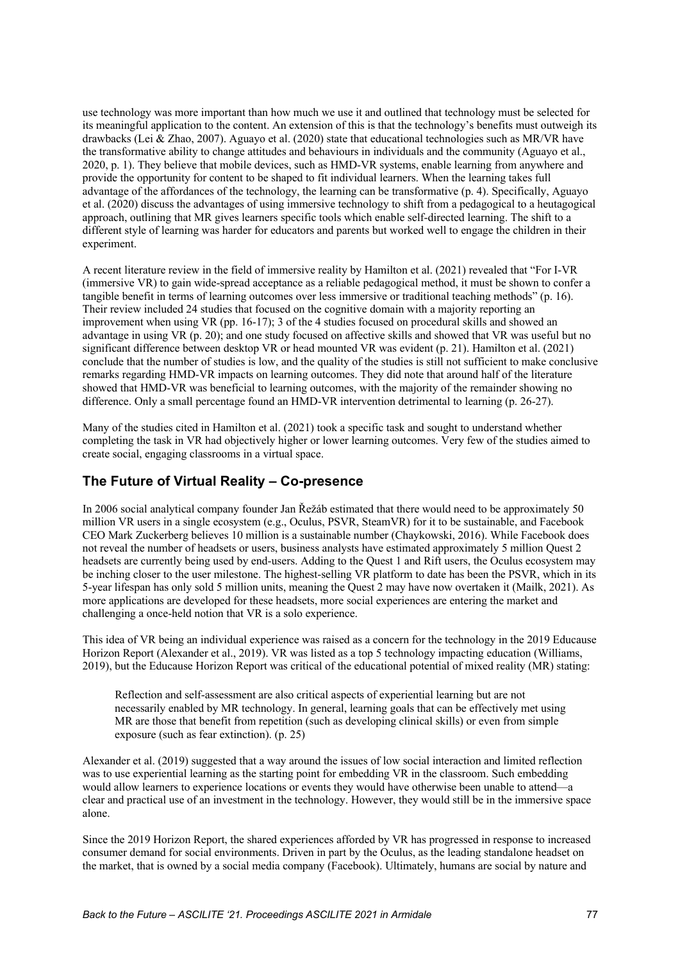use technology was more important than how much we use it and outlined that technology must be selected for its meaningful application to the content. An extension of this is that the technology's benefits must outweigh its drawbacks (Lei & Zhao, 2007). Aguayo et al. (2020) state that educational technologies such as MR/VR have the transformative ability to change attitudes and behaviours in individuals and the community (Aguayo et al., 2020, p. 1). They believe that mobile devices, such as HMD-VR systems, enable learning from anywhere and provide the opportunity for content to be shaped to fit individual learners. When the learning takes full advantage of the affordances of the technology, the learning can be transformative (p. 4). Specifically, Aguayo et al. (2020) discuss the advantages of using immersive technology to shift from a pedagogical to a heutagogical approach, outlining that MR gives learners specific tools which enable self-directed learning. The shift to a different style of learning was harder for educators and parents but worked well to engage the children in their experiment.

A recent literature review in the field of immersive reality by Hamilton et al. (2021) revealed that "For I-VR (immersive VR) to gain wide-spread acceptance as a reliable pedagogical method, it must be shown to confer a tangible benefit in terms of learning outcomes over less immersive or traditional teaching methods" (p. 16). Their review included 24 studies that focused on the cognitive domain with a majority reporting an improvement when using VR (pp. 16-17); 3 of the 4 studies focused on procedural skills and showed an advantage in using VR (p. 20); and one study focused on affective skills and showed that VR was useful but no significant difference between desktop VR or head mounted VR was evident (p. 21). Hamilton et al. (2021) conclude that the number of studies is low, and the quality of the studies is still not sufficient to make conclusive remarks regarding HMD-VR impacts on learning outcomes. They did note that around half of the literature showed that HMD-VR was beneficial to learning outcomes, with the majority of the remainder showing no difference. Only a small percentage found an HMD-VR intervention detrimental to learning (p. 26-27).

Many of the studies cited in Hamilton et al. (2021) took a specific task and sought to understand whether completing the task in VR had objectively higher or lower learning outcomes. Very few of the studies aimed to create social, engaging classrooms in a virtual space.

# **The Future of Virtual Reality – Co-presence**

In 2006 social analytical company founder Jan Řežáb estimated that there would need to be approximately 50 million VR users in a single ecosystem (e.g., Oculus, PSVR, SteamVR) for it to be sustainable, and Facebook CEO Mark Zuckerberg believes 10 million is a sustainable number (Chaykowski, 2016). While Facebook does not reveal the number of headsets or users, business analysts have estimated approximately 5 million Quest 2 headsets are currently being used by end-users. Adding to the Quest 1 and Rift users, the Oculus ecosystem may be inching closer to the user milestone. The highest-selling VR platform to date has been the PSVR, which in its 5-year lifespan has only sold 5 million units, meaning the Quest 2 may have now overtaken it (Mailk, 2021). As more applications are developed for these headsets, more social experiences are entering the market and challenging a once-held notion that VR is a solo experience.

This idea of VR being an individual experience was raised as a concern for the technology in the 2019 Educause Horizon Report (Alexander et al., 2019). VR was listed as a top 5 technology impacting education (Williams, 2019), but the Educause Horizon Report was critical of the educational potential of mixed reality (MR) stating:

Reflection and self-assessment are also critical aspects of experiential learning but are not necessarily enabled by MR technology. In general, learning goals that can be effectively met using MR are those that benefit from repetition (such as developing clinical skills) or even from simple exposure (such as fear extinction). (p. 25)

Alexander et al. (2019) suggested that a way around the issues of low social interaction and limited reflection was to use experiential learning as the starting point for embedding VR in the classroom. Such embedding would allow learners to experience locations or events they would have otherwise been unable to attend—a clear and practical use of an investment in the technology. However, they would still be in the immersive space alone.

Since the 2019 Horizon Report, the shared experiences afforded by VR has progressed in response to increased consumer demand for social environments. Driven in part by the Oculus, as the leading standalone headset on the market, that is owned by a social media company (Facebook). Ultimately, humans are social by nature and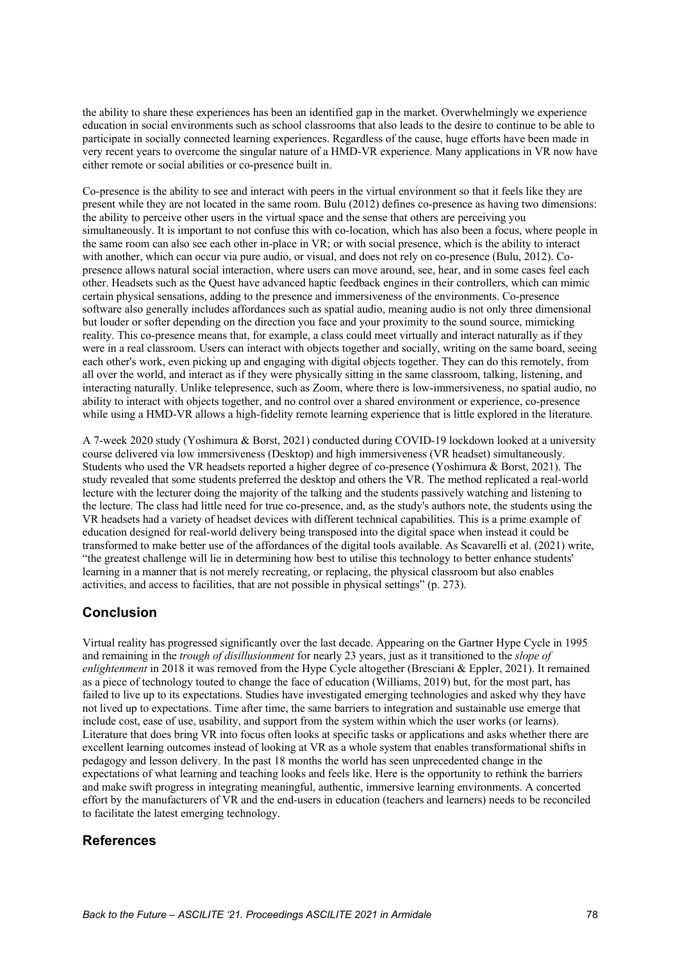the ability to share these experiences has been an identified gap in the market. Overwhelmingly we experience education in social environments such as school classrooms that also leads to the desire to continue to be able to participate in socially connected learning experiences. Regardless of the cause, huge efforts have been made in very recent years to overcome the singular nature of a HMD-VR experience. Many applications in VR now have either remote or social abilities or co-presence built in.

Co-presence is the ability to see and interact with peers in the virtual environment so that it feels like they are present while they are not located in the same room. Bulu (2012) defines co-presence as having two dimensions: the ability to perceive other users in the virtual space and the sense that others are perceiving you simultaneously. It is important to not confuse this with co-location, which has also been a focus, where people in the same room can also see each other in-place in VR; or with social presence, which is the ability to interact with another, which can occur via pure audio, or visual, and does not rely on co-presence (Bulu, 2012). Copresence allows natural social interaction, where users can move around, see, hear, and in some cases feel each other. Headsets such as the Quest have advanced haptic feedback engines in their controllers, which can mimic certain physical sensations, adding to the presence and immersiveness of the environments. Co-presence software also generally includes affordances such as spatial audio, meaning audio is not only three dimensional but louder or softer depending on the direction you face and your proximity to the sound source, mimicking reality. This co-presence means that, for example, a class could meet virtually and interact naturally as if they were in a real classroom. Users can interact with objects together and socially, writing on the same board, seeing each other's work, even picking up and engaging with digital objects together. They can do this remotely, from all over the world, and interact as if they were physically sitting in the same classroom, talking, listening, and interacting naturally. Unlike telepresence, such as Zoom, where there is low-immersiveness, no spatial audio, no ability to interact with objects together, and no control over a shared environment or experience, co-presence while using a HMD-VR allows a high-fidelity remote learning experience that is little explored in the literature.

A 7-week 2020 study (Yoshimura & Borst, 2021) conducted during COVID-19 lockdown looked at a university course delivered via low immersiveness (Desktop) and high immersiveness (VR headset) simultaneously. Students who used the VR headsets reported a higher degree of co-presence (Yoshimura & Borst, 2021). The study revealed that some students preferred the desktop and others the VR. The method replicated a real-world lecture with the lecturer doing the majority of the talking and the students passively watching and listening to the lecture. The class had little need for true co-presence, and, as the study's authors note, the students using the VR headsets had a variety of headset devices with different technical capabilities. This is a prime example of education designed for real-world delivery being transposed into the digital space when instead it could be transformed to make better use of the affordances of the digital tools available. As Scavarelli et al. (2021) write, "the greatest challenge will lie in determining how best to utilise this technology to better enhance students' learning in a manner that is not merely recreating, or replacing, the physical classroom but also enables activities, and access to facilities, that are not possible in physical settings" (p. 273).

# **Conclusion**

Virtual reality has progressed significantly over the last decade. Appearing on the Gartner Hype Cycle in 1995 and remaining in the *trough of disillusionment* for nearly 23 years, just as it transitioned to the *slope of enlightenment* in 2018 it was removed from the Hype Cycle altogether (Bresciani & Eppler, 2021). It remained as a piece of technology touted to change the face of education (Williams, 2019) but, for the most part, has failed to live up to its expectations. Studies have investigated emerging technologies and asked why they have not lived up to expectations. Time after time, the same barriers to integration and sustainable use emerge that include cost, ease of use, usability, and support from the system within which the user works (or learns). Literature that does bring VR into focus often looks at specific tasks or applications and asks whether there are excellent learning outcomes instead of looking at VR as a whole system that enables transformational shifts in pedagogy and lesson delivery. In the past 18 months the world has seen unprecedented change in the expectations of what learning and teaching looks and feels like. Here is the opportunity to rethink the barriers and make swift progress in integrating meaningful, authentic, immersive learning environments. A concerted effort by the manufacturers of VR and the end-users in education (teachers and learners) needs to be reconciled to facilitate the latest emerging technology.

# **References**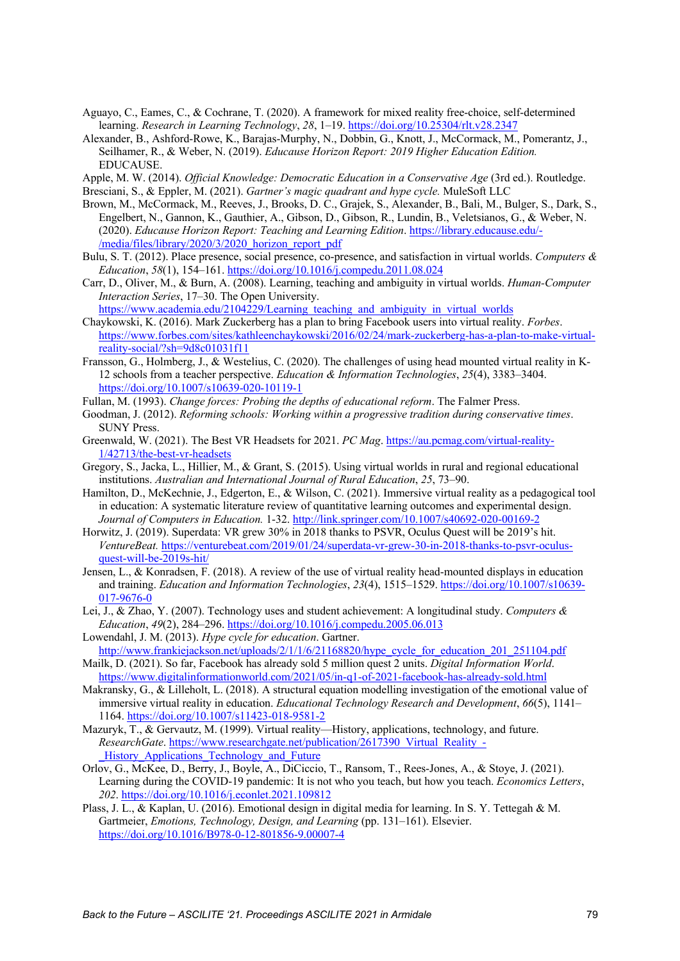- Aguayo, C., Eames, C., & Cochrane, T. (2020). A framework for mixed reality free-choice, self-determined learning. *Research in Learning Technology*, *28*, 1–19. https://doi.org/10.25304/rlt.v28.2347
- Alexander, B., Ashford-Rowe, K., Barajas-Murphy, N., Dobbin, G., Knott, J., McCormack, M., Pomerantz, J., Seilhamer, R., & Weber, N. (2019). *Educause Horizon Report: 2019 Higher Education Edition.* EDUCAUSE.
- Apple, M. W. (2014). *Official Knowledge: Democratic Education in a Conservative Age* (3rd ed.). Routledge.
- Bresciani, S., & Eppler, M. (2021). *Gartner's magic quadrant and hype cycle.* MuleSoft LLC
- Brown, M., McCormack, M., Reeves, J., Brooks, D. C., Grajek, S., Alexander, B., Bali, M., Bulger, S., Dark, S., Engelbert, N., Gannon, K., Gauthier, A., Gibson, D., Gibson, R., Lundin, B., Veletsianos, G., & Weber, N. (2020). *Educause Horizon Report: Teaching and Learning Edition*. https://library.educause.edu/- /media/files/library/2020/3/2020\_horizon\_report\_pdf
- Bulu, S. T. (2012). Place presence, social presence, co-presence, and satisfaction in virtual worlds. *Computers & Education*, *58*(1), 154–161. https://doi.org/10.1016/j.compedu.2011.08.024
- Carr, D., Oliver, M., & Burn, A. (2008). Learning, teaching and ambiguity in virtual worlds. *Human-Computer Interaction Series*, 17–30. The Open University.

https://www.academia.edu/2104229/Learning teaching and ambiguity in virtual worlds

- Chaykowski, K. (2016). Mark Zuckerberg has a plan to bring Facebook users into virtual reality. *Forbes*. https://www.forbes.com/sites/kathleenchaykowski/2016/02/24/mark-zuckerberg-has-a-plan-to-make-virtualreality-social/?sh=9d8c01031f11
- Fransson, G., Holmberg, J., & Westelius, C. (2020). The challenges of using head mounted virtual reality in K-12 schools from a teacher perspective. *Education & Information Technologies*, *25*(4), 3383–3404. https://doi.org/10.1007/s10639-020-10119-1
- Fullan, M. (1993). *Change forces: Probing the depths of educational reform*. The Falmer Press.
- Goodman, J. (2012). *Reforming schools: Working within a progressive tradition during conservative times*. SUNY Press.
- Greenwald, W. (2021). The Best VR Headsets for 2021. *PC Mag*. https://au.pcmag.com/virtual-reality-1/42713/the-best-vr-headsets
- Gregory, S., Jacka, L., Hillier, M., & Grant, S. (2015). Using virtual worlds in rural and regional educational institutions. *Australian and International Journal of Rural Education*, *25*, 73–90.
- Hamilton, D., McKechnie, J., Edgerton, E., & Wilson, C. (2021). Immersive virtual reality as a pedagogical tool in education: A systematic literature review of quantitative learning outcomes and experimental design. *Journal of Computers in Education.* 1-32. http://link.springer.com/10.1007/s40692-020-00169-2
- Horwitz, J. (2019). Superdata: VR grew 30% in 2018 thanks to PSVR, Oculus Quest will be 2019's hit. *VentureBeat.* https://venturebeat.com/2019/01/24/superdata-vr-grew-30-in-2018-thanks-to-psvr-oculusquest-will-be-2019s-hit/
- Jensen, L., & Konradsen, F. (2018). A review of the use of virtual reality head-mounted displays in education and training. *Education and Information Technologies*, *23*(4), 1515–1529. https://doi.org/10.1007/s10639- 017-9676-0
- Lei, J., & Zhao, Y. (2007). Technology uses and student achievement: A longitudinal study. *Computers & Education*, *49*(2), 284–296. https://doi.org/10.1016/j.compedu.2005.06.013
- Lowendahl, J. M. (2013). *Hype cycle for education*. Gartner. http://www.frankiejackson.net/uploads/2/1/1/6/21168820/hype\_cycle\_for\_education\_201\_251104.pdf
- Mailk, D. (2021). So far, Facebook has already sold 5 million quest 2 units. *Digital Information World*. https://www.digitalinformationworld.com/2021/05/in-q1-of-2021-facebook-has-already-sold.html
- Makransky, G., & Lilleholt, L. (2018). A structural equation modelling investigation of the emotional value of immersive virtual reality in education. *Educational Technology Research and Development*, *66*(5), 1141– 1164. https://doi.org/10.1007/s11423-018-9581-2
- Mazuryk, T., & Gervautz, M. (1999). Virtual reality—History, applications, technology, and future. *ResearchGate*. https://www.researchgate.net/publication/2617390\_Virtual\_Reality\_- History Applications Technology and Future
- Orlov, G., McKee, D., Berry, J., Boyle, A., DiCiccio, T., Ransom, T., Rees-Jones, A., & Stoye, J. (2021). Learning during the COVID-19 pandemic: It is not who you teach, but how you teach. *Economics Letters*, *202*. https://doi.org/10.1016/j.econlet.2021.109812
- Plass, J. L., & Kaplan, U. (2016). Emotional design in digital media for learning. In S. Y. Tettegah & M. Gartmeier, *Emotions, Technology, Design, and Learning* (pp. 131–161). Elsevier. https://doi.org/10.1016/B978-0-12-801856-9.00007-4